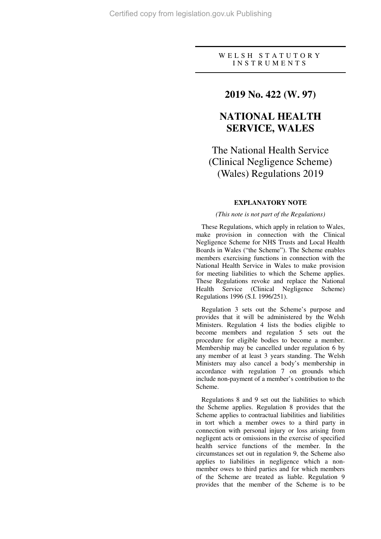## W E L S H S T A T U T O R Y I N S T R U M E N T S

**2019 No. 422 (W. 97)** 

## **NATIONAL HEALTH SERVICE, WALES**

The National Health Service (Clinical Negligence Scheme) (Wales) Regulations 2019

## **EXPLANATORY NOTE**

## *(This note is not part of the Regulations)*

These Regulations, which apply in relation to Wales, make provision in connection with the Clinical Negligence Scheme for NHS Trusts and Local Health Boards in Wales ("the Scheme"). The Scheme enables members exercising functions in connection with the National Health Service in Wales to make provision for meeting liabilities to which the Scheme applies. These Regulations revoke and replace the National Health Service (Clinical Negligence Scheme) Regulations 1996 (S.I. 1996/251).

Regulation 3 sets out the Scheme's purpose and provides that it will be administered by the Welsh Ministers. Regulation 4 lists the bodies eligible to become members and regulation 5 sets out the procedure for eligible bodies to become a member. Membership may be cancelled under regulation 6 by any member of at least 3 years standing. The Welsh Ministers may also cancel a body's membership in accordance with regulation 7 on grounds which include non-payment of a member's contribution to the Scheme.

Regulations 8 and 9 set out the liabilities to which the Scheme applies. Regulation 8 provides that the Scheme applies to contractual liabilities and liabilities in tort which a member owes to a third party in connection with personal injury or loss arising from negligent acts or omissions in the exercise of specified health service functions of the member. In the circumstances set out in regulation 9, the Scheme also applies to liabilities in negligence which a nonmember owes to third parties and for which members of the Scheme are treated as liable. Regulation 9 provides that the member of the Scheme is to be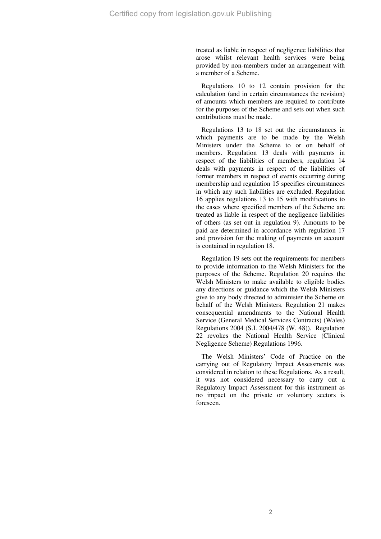treated as liable in respect of negligence liabilities that arose whilst relevant health services were being provided by non-members under an arrangement with a member of a Scheme.

Regulations 10 to 12 contain provision for the calculation (and in certain circumstances the revision) of amounts which members are required to contribute for the purposes of the Scheme and sets out when such contributions must be made.

Regulations 13 to 18 set out the circumstances in which payments are to be made by the Welsh Ministers under the Scheme to or on behalf of members. Regulation 13 deals with payments in respect of the liabilities of members, regulation 14 deals with payments in respect of the liabilities of former members in respect of events occurring during membership and regulation 15 specifies circumstances in which any such liabilities are excluded. Regulation 16 applies regulations 13 to 15 with modifications to the cases where specified members of the Scheme are treated as liable in respect of the negligence liabilities of others (as set out in regulation 9). Amounts to be paid are determined in accordance with regulation 17 and provision for the making of payments on account is contained in regulation 18.

Regulation 19 sets out the requirements for members to provide information to the Welsh Ministers for the purposes of the Scheme. Regulation 20 requires the Welsh Ministers to make available to eligible bodies any directions or guidance which the Welsh Ministers give to any body directed to administer the Scheme on behalf of the Welsh Ministers. Regulation 21 makes consequential amendments to the National Health Service (General Medical Services Contracts) (Wales) Regulations 2004 (S.I. 2004/478 (W. 48)). Regulation 22 revokes the National Health Service (Clinical Negligence Scheme) Regulations 1996.

The Welsh Ministers' Code of Practice on the carrying out of Regulatory Impact Assessments was considered in relation to these Regulations. As a result, it was not considered necessary to carry out a Regulatory Impact Assessment for this instrument as no impact on the private or voluntary sectors is foreseen.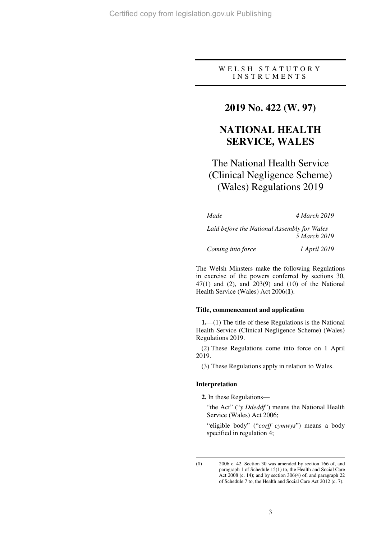## W E L S H S T A T U T O R Y I N S T R U M E N T S

## **2019 No. 422 (W. 97)**

# **NATIONAL HEALTH SERVICE, WALES**

## The National Health Service (Clinical Negligence Scheme) (Wales) Regulations 2019

*Made 4 March 2019* 

*Laid before the National Assembly for Wales 5 March 2019* 

*Coming into force 1 April 2019* 

The Welsh Minsters make the following Regulations in exercise of the powers conferred by sections 30, 47(1) and (2), and 203(9) and (10) of the National Health Service (Wales) Act 2006(**1**).

#### **Title, commencement and application**

**1.**—(1) The title of these Regulations is the National Health Service (Clinical Negligence Scheme) (Wales) Regulations 2019.

(2) These Regulations come into force on 1 April 2019.

(3) These Regulations apply in relation to Wales.

#### **Interpretation**

**2.** In these Regulations—

"the Act" ("*y Ddeddf*") means the National Health Service (Wales) Act 2006;

"eligible body" ("*corff cymwys*") means a body specified in regulation 4;

 $\overline{a}$ (**1**) 2006 c. 42. Section 30 was amended by section 166 of, and paragraph 1 of Schedule 15(1) to, the Health and Social Care Act 2008 (c. 14); and by section 306(4) of, and paragraph 22 of Schedule 7 to, the Health and Social Care Act 2012 (c. 7).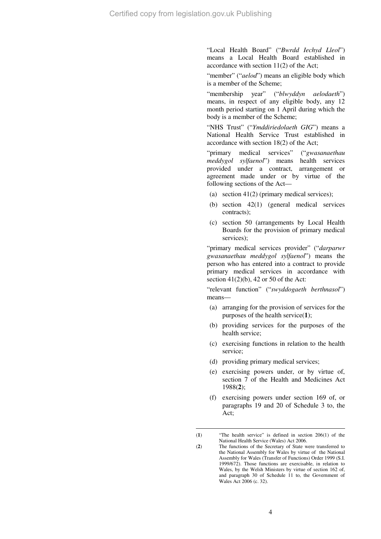"Local Health Board" ("*Bwrdd Iechyd Lleol*") means a Local Health Board established in accordance with section 11(2) of the Act;

"member" ("*aelod*") means an eligible body which is a member of the Scheme;

"membership year" ("*blwyddyn aelodaeth*") means, in respect of any eligible body, any 12 month period starting on 1 April during which the body is a member of the Scheme;

"NHS Trust" ("*Ymddiriedolaeth GIG*") means a National Health Service Trust established in accordance with section 18(2) of the Act;

"primary medical services" ("*gwasanaethau meddygol sylfaenol*") means health services provided under a contract, arrangement or agreement made under or by virtue of the following sections of the Act—

- (a) section 41(2) (primary medical services);
- (b) section 42(1) (general medical services contracts);
- (c) section 50 (arrangements by Local Health Boards for the provision of primary medical services):

"primary medical services provider" ("*darparwr gwasanaethau meddygol sylfaenol*") means the person who has entered into a contract to provide primary medical services in accordance with section  $41(2)(b)$ ,  $42$  or 50 of the Act:

"relevant function" ("*swyddogaeth berthnasol*") means—

- (a) arranging for the provision of services for the purposes of the health service(**1**);
- (b) providing services for the purposes of the health service;
- (c) exercising functions in relation to the health service;
- (d) providing primary medical services;
- (e) exercising powers under, or by virtue of, section 7 of the Health and Medicines Act 1988(**2**);
- (f) exercising powers under section 169 of, or paragraphs 19 and 20 of Schedule 3 to, the Act;

 $\overline{a}$ 

<sup>(</sup>**1**) "The health service" is defined in section 206(1) of the National Health Service (Wales) Act 2006.

<sup>(</sup>**2**) The functions of the Secretary of State were transferred to the National Assembly for Wales by virtue of the National Assembly for Wales (Transfer of Functions) Order 1999 (S.I. 1999/672). Those functions are exercisable, in relation to Wales, by the Welsh Ministers by virtue of section 162 of, and paragraph 30 of Schedule 11 to, the Government of Wales Act 2006 (c. 32).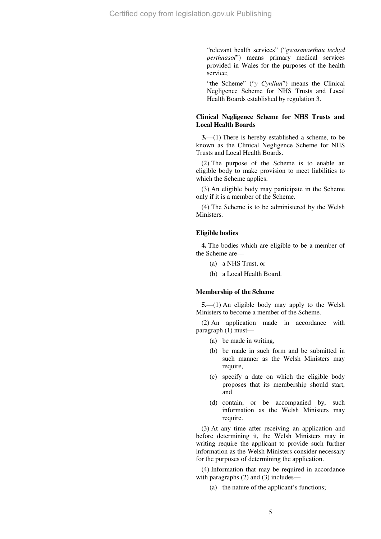"relevant health services" ("*gwasanaethau iechyd perthnasol*") means primary medical services provided in Wales for the purposes of the health service;

"the Scheme" ("*y Cynllun*") means the Clinical Negligence Scheme for NHS Trusts and Local Health Boards established by regulation 3.

### **Clinical Negligence Scheme for NHS Trusts and Local Health Boards**

**3.**—(1) There is hereby established a scheme, to be known as the Clinical Negligence Scheme for NHS Trusts and Local Health Boards.

(2) The purpose of the Scheme is to enable an eligible body to make provision to meet liabilities to which the Scheme applies.

(3) An eligible body may participate in the Scheme only if it is a member of the Scheme.

(4) The Scheme is to be administered by the Welsh Ministers.

#### **Eligible bodies**

**4.** The bodies which are eligible to be a member of the Scheme are—

- (a) a NHS Trust, or
- (b) a Local Health Board.

#### **Membership of the Scheme**

**5.**—(1) An eligible body may apply to the Welsh Ministers to become a member of the Scheme.

(2) An application made in accordance with paragraph (1) must—

- (a) be made in writing,
- (b) be made in such form and be submitted in such manner as the Welsh Ministers may require,
- (c) specify a date on which the eligible body proposes that its membership should start, and
- (d) contain, or be accompanied by, such information as the Welsh Ministers may require.

(3) At any time after receiving an application and before determining it, the Welsh Ministers may in writing require the applicant to provide such further information as the Welsh Ministers consider necessary for the purposes of determining the application.

(4) Information that may be required in accordance with paragraphs (2) and (3) includes—

(a) the nature of the applicant's functions;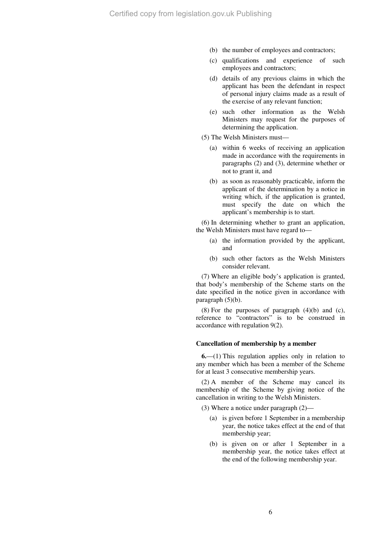- (b) the number of employees and contractors;
- (c) qualifications and experience of such employees and contractors;
- (d) details of any previous claims in which the applicant has been the defendant in respect of personal injury claims made as a result of the exercise of any relevant function;
- (e) such other information as the Welsh Ministers may request for the purposes of determining the application.
- (5) The Welsh Ministers must—
	- (a) within 6 weeks of receiving an application made in accordance with the requirements in paragraphs (2) and (3), determine whether or not to grant it, and
	- (b) as soon as reasonably practicable, inform the applicant of the determination by a notice in writing which, if the application is granted, must specify the date on which the applicant's membership is to start.

(6) In determining whether to grant an application, the Welsh Ministers must have regard to—

- (a) the information provided by the applicant, and
- (b) such other factors as the Welsh Ministers consider relevant.

(7) Where an eligible body's application is granted, that body's membership of the Scheme starts on the date specified in the notice given in accordance with paragraph (5)(b).

 $(8)$  For the purposes of paragraph  $(4)(b)$  and  $(c)$ , reference to "contractors" is to be construed in accordance with regulation 9(2).

#### **Cancellation of membership by a member**

**6.**—(1) This regulation applies only in relation to any member which has been a member of the Scheme for at least 3 consecutive membership years.

(2) A member of the Scheme may cancel its membership of the Scheme by giving notice of the cancellation in writing to the Welsh Ministers.

(3) Where a notice under paragraph (2)—

- (a) is given before 1 September in a membership year, the notice takes effect at the end of that membership year;
- (b) is given on or after 1 September in a membership year, the notice takes effect at the end of the following membership year.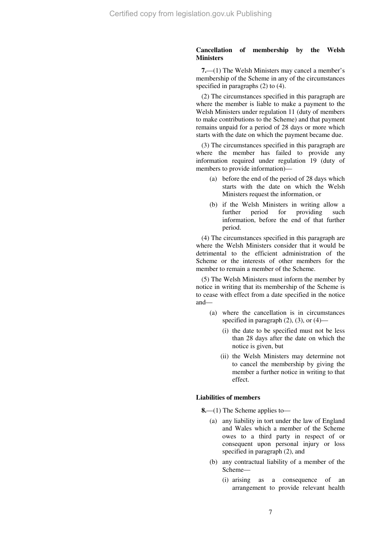#### **Cancellation of membership by the Welsh Ministers**

**7.**—(1) The Welsh Ministers may cancel a member's membership of the Scheme in any of the circumstances specified in paragraphs (2) to (4).

(2) The circumstances specified in this paragraph are where the member is liable to make a payment to the Welsh Ministers under regulation 11 (duty of members to make contributions to the Scheme) and that payment remains unpaid for a period of 28 days or more which starts with the date on which the payment became due.

(3) The circumstances specified in this paragraph are where the member has failed to provide any information required under regulation 19 (duty of members to provide information)—

- (a) before the end of the period of 28 days which starts with the date on which the Welsh Ministers request the information, or
- (b) if the Welsh Ministers in writing allow a further period for providing such information, before the end of that further period.

(4) The circumstances specified in this paragraph are where the Welsh Ministers consider that it would be detrimental to the efficient administration of the Scheme or the interests of other members for the member to remain a member of the Scheme.

(5) The Welsh Ministers must inform the member by notice in writing that its membership of the Scheme is to cease with effect from a date specified in the notice and—

- (a) where the cancellation is in circumstances specified in paragraph  $(2)$ ,  $(3)$ , or  $(4)$ —
	- (i) the date to be specified must not be less than 28 days after the date on which the notice is given, but
	- (ii) the Welsh Ministers may determine not to cancel the membership by giving the member a further notice in writing to that effect.

## **Liabilities of members**

**8.**—(1) The Scheme applies to—

- (a) any liability in tort under the law of England and Wales which a member of the Scheme owes to a third party in respect of or consequent upon personal injury or loss specified in paragraph (2), and
- (b) any contractual liability of a member of the Scheme—
	- (i) arising as a consequence of an arrangement to provide relevant health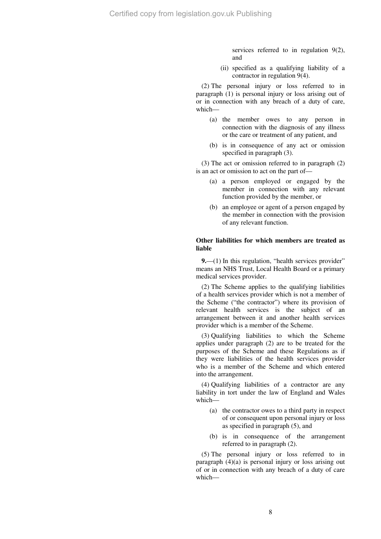services referred to in regulation 9(2), and

(ii) specified as a qualifying liability of a contractor in regulation 9(4).

(2) The personal injury or loss referred to in paragraph (1) is personal injury or loss arising out of or in connection with any breach of a duty of care, which—

- (a) the member owes to any person in connection with the diagnosis of any illness or the care or treatment of any patient, and
- (b) is in consequence of any act or omission specified in paragraph  $(3)$ .

(3) The act or omission referred to in paragraph (2) is an act or omission to act on the part of—

- (a) a person employed or engaged by the member in connection with any relevant function provided by the member, or
- (b) an employee or agent of a person engaged by the member in connection with the provision of any relevant function.

#### **Other liabilities for which members are treated as liable**

**9.**—(1) In this regulation, "health services provider" means an NHS Trust, Local Health Board or a primary medical services provider.

(2) The Scheme applies to the qualifying liabilities of a health services provider which is not a member of the Scheme ("the contractor") where its provision of relevant health services is the subject of an arrangement between it and another health services provider which is a member of the Scheme.

(3) Qualifying liabilities to which the Scheme applies under paragraph (2) are to be treated for the purposes of the Scheme and these Regulations as if they were liabilities of the health services provider who is a member of the Scheme and which entered into the arrangement.

(4) Qualifying liabilities of a contractor are any liability in tort under the law of England and Wales which—

- (a) the contractor owes to a third party in respect of or consequent upon personal injury or loss as specified in paragraph (5), and
- (b) is in consequence of the arrangement referred to in paragraph (2).

(5) The personal injury or loss referred to in paragraph (4)(a) is personal injury or loss arising out of or in connection with any breach of a duty of care which—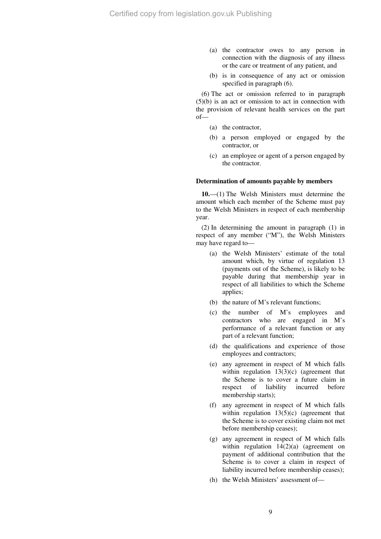- (a) the contractor owes to any person in connection with the diagnosis of any illness or the care or treatment of any patient, and
- (b) is in consequence of any act or omission specified in paragraph (6).

(6) The act or omission referred to in paragraph (5)(b) is an act or omission to act in connection with the provision of relevant health services on the part of—

- (a) the contractor,
- (b) a person employed or engaged by the contractor, or
- (c) an employee or agent of a person engaged by the contractor.

#### **Determination of amounts payable by members**

**10.**—(1) The Welsh Ministers must determine the amount which each member of the Scheme must pay to the Welsh Ministers in respect of each membership year.

(2) In determining the amount in paragraph (1) in respect of any member ("M"), the Welsh Ministers may have regard to—

- (a) the Welsh Ministers' estimate of the total amount which, by virtue of regulation 13 (payments out of the Scheme), is likely to be payable during that membership year in respect of all liabilities to which the Scheme applies;
- (b) the nature of M's relevant functions;
- (c) the number of M's employees and contractors who are engaged in M's performance of a relevant function or any part of a relevant function;
- (d) the qualifications and experience of those employees and contractors;
- (e) any agreement in respect of M which falls within regulation 13(3)(c) (agreement that the Scheme is to cover a future claim in respect of liability incurred before membership starts);
- (f) any agreement in respect of M which falls within regulation  $13(5)(c)$  (agreement that the Scheme is to cover existing claim not met before membership ceases);
- (g) any agreement in respect of M which falls within regulation  $14(2)(a)$  (agreement on payment of additional contribution that the Scheme is to cover a claim in respect of liability incurred before membership ceases);
- (h) the Welsh Ministers' assessment of—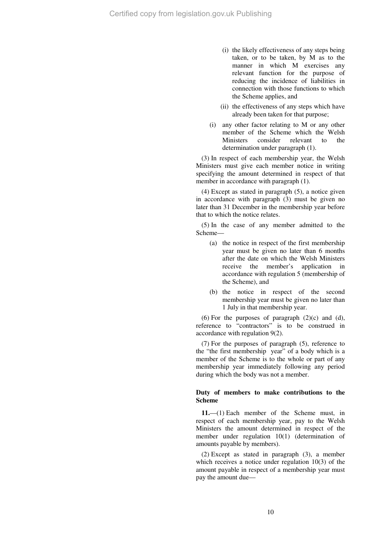- (i) the likely effectiveness of any steps being taken, or to be taken, by M as to the manner in which M exercises any relevant function for the purpose of reducing the incidence of liabilities in connection with those functions to which the Scheme applies, and
- (ii) the effectiveness of any steps which have already been taken for that purpose;
- (i) any other factor relating to M or any other member of the Scheme which the Welsh Ministers consider relevant to the determination under paragraph (1).

(3) In respect of each membership year, the Welsh Ministers must give each member notice in writing specifying the amount determined in respect of that member in accordance with paragraph (1).

(4) Except as stated in paragraph (5), a notice given in accordance with paragraph (3) must be given no later than 31 December in the membership year before that to which the notice relates.

(5) In the case of any member admitted to the Scheme—

- (a) the notice in respect of the first membership year must be given no later than 6 months after the date on which the Welsh Ministers receive the member's application in accordance with regulation 5 (membership of the Scheme), and
- (b) the notice in respect of the second membership year must be given no later than 1 July in that membership year.

(6) For the purposes of paragraph  $(2)(c)$  and  $(d)$ , reference to "contractors" is to be construed in accordance with regulation 9(2).

(7) For the purposes of paragraph (5), reference to the "the first membership year" of a body which is a member of the Scheme is to the whole or part of any membership year immediately following any period during which the body was not a member.

#### **Duty of members to make contributions to the Scheme**

**11.**—(1) Each member of the Scheme must, in respect of each membership year, pay to the Welsh Ministers the amount determined in respect of the member under regulation 10(1) (determination of amounts payable by members).

(2) Except as stated in paragraph (3), a member which receives a notice under regulation 10(3) of the amount payable in respect of a membership year must pay the amount due—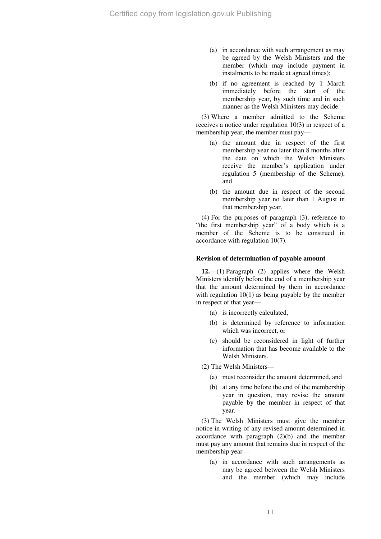- (a) in accordance with such arrangement as may be agreed by the Welsh Ministers and the member (which may include payment in instalments to be made at agreed times);
- (b) if no agreement is reached by 1 March immediately before the start of the membership year, by such time and in such manner as the Welsh Ministers may decide.

(3) Where a member admitted to the Scheme receives a notice under regulation 10(3) in respect of a membership year, the member must pay—

- (a) the amount due in respect of the first membership year no later than 8 months after the date on which the Welsh Ministers receive the member's application under regulation 5 (membership of the Scheme), and
- (b) the amount due in respect of the second membership year no later than 1 August in that membership year.

(4) For the purposes of paragraph (3), reference to "the first membership year" of a body which is a member of the Scheme is to be construed in accordance with regulation 10(7).

#### **Revision of determination of payable amount**

**12.**—(1) Paragraph (2) applies where the Welsh Ministers identify before the end of a membership year that the amount determined by them in accordance with regulation 10(1) as being payable by the member in respect of that year—

- (a) is incorrectly calculated,
- (b) is determined by reference to information which was incorrect, or
- (c) should be reconsidered in light of further information that has become available to the Welsh Ministers.

(2) The Welsh Ministers—

- (a) must reconsider the amount determined, and
- (b) at any time before the end of the membership year in question, may revise the amount payable by the member in respect of that year.

(3) The Welsh Ministers must give the member notice in writing of any revised amount determined in accordance with paragraph (2)(b) and the member must pay any amount that remains due in respect of the membership year—

(a) in accordance with such arrangements as may be agreed between the Welsh Ministers and the member (which may include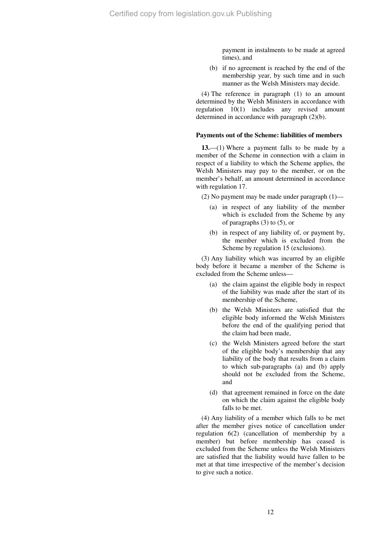payment in instalments to be made at agreed times), and

(b) if no agreement is reached by the end of the membership year, by such time and in such manner as the Welsh Ministers may decide.

(4) The reference in paragraph (1) to an amount determined by the Welsh Ministers in accordance with regulation 10(1) includes any revised amount determined in accordance with paragraph (2)(b).

## **Payments out of the Scheme: liabilities of members**

**13.**—(1) Where a payment falls to be made by a member of the Scheme in connection with a claim in respect of a liability to which the Scheme applies, the Welsh Ministers may pay to the member, or on the member's behalf, an amount determined in accordance with regulation 17.

(2) No payment may be made under paragraph  $(1)$ —

- (a) in respect of any liability of the member which is excluded from the Scheme by any of paragraphs (3) to (5), or
- (b) in respect of any liability of, or payment by, the member which is excluded from the Scheme by regulation 15 (exclusions).

(3) Any liability which was incurred by an eligible body before it became a member of the Scheme is excluded from the Scheme unless—

- (a) the claim against the eligible body in respect of the liability was made after the start of its membership of the Scheme,
- (b) the Welsh Ministers are satisfied that the eligible body informed the Welsh Ministers before the end of the qualifying period that the claim had been made,
- (c) the Welsh Ministers agreed before the start of the eligible body's membership that any liability of the body that results from a claim to which sub-paragraphs (a) and (b) apply should not be excluded from the Scheme, and
- (d) that agreement remained in force on the date on which the claim against the eligible body falls to be met.

(4) Any liability of a member which falls to be met after the member gives notice of cancellation under regulation 6(2) (cancellation of membership by a member) but before membership has ceased is excluded from the Scheme unless the Welsh Ministers are satisfied that the liability would have fallen to be met at that time irrespective of the member's decision to give such a notice.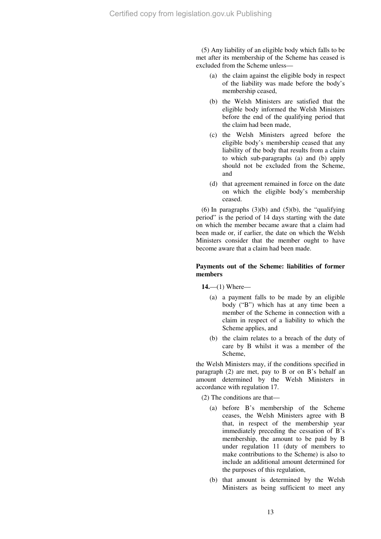(5) Any liability of an eligible body which falls to be met after its membership of the Scheme has ceased is excluded from the Scheme unless—

- (a) the claim against the eligible body in respect of the liability was made before the body's membership ceased,
- (b) the Welsh Ministers are satisfied that the eligible body informed the Welsh Ministers before the end of the qualifying period that the claim had been made,
- (c) the Welsh Ministers agreed before the eligible body's membership ceased that any liability of the body that results from a claim to which sub-paragraphs (a) and (b) apply should not be excluded from the Scheme, and
- (d) that agreement remained in force on the date on which the eligible body's membership ceased.

(6) In paragraphs  $(3)(b)$  and  $(5)(b)$ , the "qualifying period" is the period of 14 days starting with the date on which the member became aware that a claim had been made or, if earlier, the date on which the Welsh Ministers consider that the member ought to have become aware that a claim had been made.

## **Payments out of the Scheme: liabilities of former members**

**14.**—(1) Where—

- (a) a payment falls to be made by an eligible body ("B") which has at any time been a member of the Scheme in connection with a claim in respect of a liability to which the Scheme applies, and
- (b) the claim relates to a breach of the duty of care by B whilst it was a member of the Scheme,

the Welsh Ministers may, if the conditions specified in paragraph (2) are met, pay to B or on B's behalf an amount determined by the Welsh Ministers in accordance with regulation 17.

(2) The conditions are that—

- (a) before B's membership of the Scheme ceases, the Welsh Ministers agree with B that, in respect of the membership year immediately preceding the cessation of B's membership, the amount to be paid by B under regulation 11 (duty of members to make contributions to the Scheme) is also to include an additional amount determined for the purposes of this regulation,
- (b) that amount is determined by the Welsh Ministers as being sufficient to meet any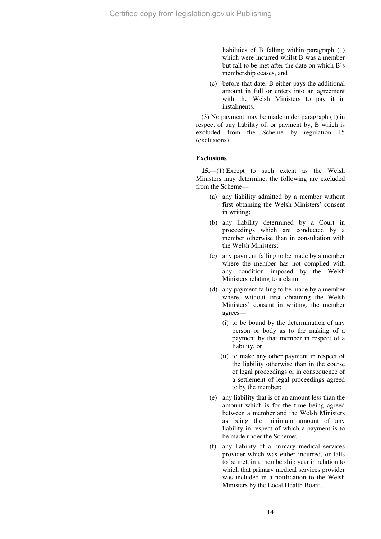liabilities of B falling within paragraph (1) which were incurred whilst B was a member but fall to be met after the date on which B's membership ceases, and

(c) before that date, B either pays the additional amount in full or enters into an agreement with the Welsh Ministers to pay it in instalments.

(3) No payment may be made under paragraph (1) in respect of any liability of, or payment by, B which is excluded from the Scheme by regulation 15 (exclusions).

### **Exclusions**

**15.**—(1) Except to such extent as the Welsh Ministers may determine, the following are excluded from the Scheme—

- (a) any liability admitted by a member without first obtaining the Welsh Ministers' consent in writing;
- (b) any liability determined by a Court in proceedings which are conducted by a member otherwise than in consultation with the Welsh Ministers;
- (c) any payment falling to be made by a member where the member has not complied with any condition imposed by the Welsh Ministers relating to a claim;
- (d) any payment falling to be made by a member where, without first obtaining the Welsh Ministers' consent in writing, the member agrees—
	- (i) to be bound by the determination of any person or body as to the making of a payment by that member in respect of a liability, or
	- (ii) to make any other payment in respect of the liability otherwise than in the course of legal proceedings or in consequence of a settlement of legal proceedings agreed to by the member;
- (e) any liability that is of an amount less than the amount which is for the time being agreed between a member and the Welsh Ministers as being the minimum amount of any liability in respect of which a payment is to be made under the Scheme;
- (f) any liability of a primary medical services provider which was either incurred, or falls to be met, in a membership year in relation to which that primary medical services provider was included in a notification to the Welsh Ministers by the Local Health Board.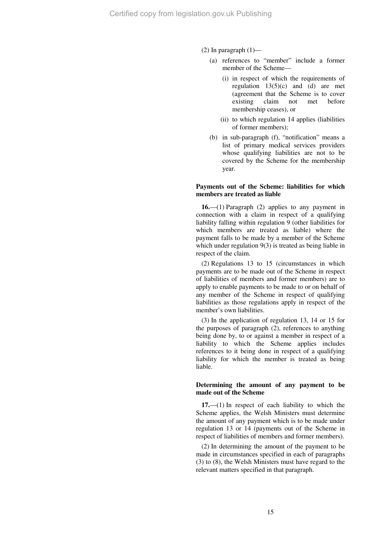$(2)$  In paragraph  $(1)$ —

- (a) references to "member" include a former member of the Scheme—
	- (i) in respect of which the requirements of regulation  $13(5)(c)$  and (d) are met (agreement that the Scheme is to cover<br>existing claim not met before existing claim not met before membership ceases), or
	- (ii) to which regulation 14 applies (liabilities of former members);
- (b) in sub-paragraph (f), "notification" means a list of primary medical services providers whose qualifying liabilities are not to be covered by the Scheme for the membership year.

#### **Payments out of the Scheme: liabilities for which members are treated as liable**

**16.**—(1) Paragraph (2) applies to any payment in connection with a claim in respect of a qualifying liability falling within regulation 9 (other liabilities for which members are treated as liable) where the payment falls to be made by a member of the Scheme which under regulation 9(3) is treated as being liable in respect of the claim.

(2) Regulations 13 to 15 (circumstances in which payments are to be made out of the Scheme in respect of liabilities of members and former members) are to apply to enable payments to be made to or on behalf of any member of the Scheme in respect of qualifying liabilities as those regulations apply in respect of the member's own liabilities.

(3) In the application of regulation 13, 14 or 15 for the purposes of paragraph (2), references to anything being done by, to or against a member in respect of a liability to which the Scheme applies includes references to it being done in respect of a qualifying liability for which the member is treated as being liable.

#### **Determining the amount of any payment to be made out of the Scheme**

**17.**—(1) In respect of each liability to which the Scheme applies, the Welsh Ministers must determine the amount of any payment which is to be made under regulation 13 or 14 (payments out of the Scheme in respect of liabilities of members and former members).

(2) In determining the amount of the payment to be made in circumstances specified in each of paragraphs (3) to (8), the Welsh Ministers must have regard to the relevant matters specified in that paragraph.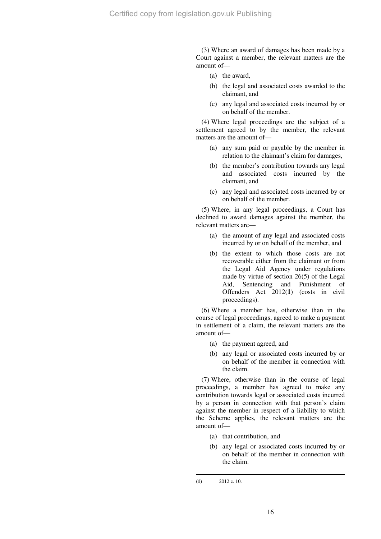(3) Where an award of damages has been made by a Court against a member, the relevant matters are the amount of—

- (a) the award,
- (b) the legal and associated costs awarded to the claimant, and
- (c) any legal and associated costs incurred by or on behalf of the member.

(4) Where legal proceedings are the subject of a settlement agreed to by the member, the relevant matters are the amount of—

- (a) any sum paid or payable by the member in relation to the claimant's claim for damages,
- (b) the member's contribution towards any legal and associated costs incurred by the claimant, and
- (c) any legal and associated costs incurred by or on behalf of the member.

(5) Where, in any legal proceedings, a Court has declined to award damages against the member, the relevant matters are—

- (a) the amount of any legal and associated costs incurred by or on behalf of the member, and
- (b) the extent to which those costs are not recoverable either from the claimant or from the Legal Aid Agency under regulations made by virtue of section 26(5) of the Legal Aid, Sentencing and Punishment of Offenders Act 2012(**1**) (costs in civil proceedings).

(6) Where a member has, otherwise than in the course of legal proceedings, agreed to make a payment in settlement of a claim, the relevant matters are the amount of—

- (a) the payment agreed, and
- (b) any legal or associated costs incurred by or on behalf of the member in connection with the claim.

(7) Where, otherwise than in the course of legal proceedings, a member has agreed to make any contribution towards legal or associated costs incurred by a person in connection with that person's claim against the member in respect of a liability to which the Scheme applies, the relevant matters are the amount of—

- (a) that contribution, and
- (b) any legal or associated costs incurred by or on behalf of the member in connection with the claim.

 $\overline{a}$ 

<sup>(</sup>**1**) 2012 c. 10.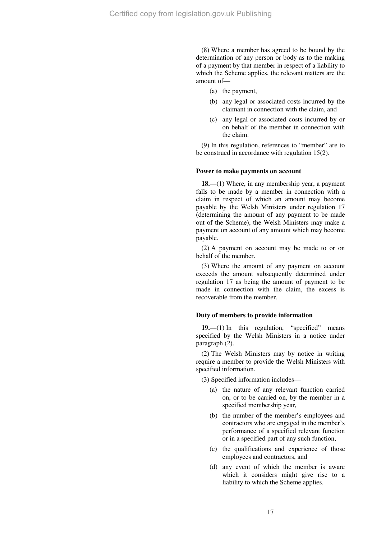(8) Where a member has agreed to be bound by the determination of any person or body as to the making of a payment by that member in respect of a liability to which the Scheme applies, the relevant matters are the amount of—

- (a) the payment,
- (b) any legal or associated costs incurred by the claimant in connection with the claim, and
- (c) any legal or associated costs incurred by or on behalf of the member in connection with the claim.

(9) In this regulation, references to "member" are to be construed in accordance with regulation 15(2).

#### **Power to make payments on account**

**18.**—(1) Where, in any membership year, a payment falls to be made by a member in connection with a claim in respect of which an amount may become payable by the Welsh Ministers under regulation 17 (determining the amount of any payment to be made out of the Scheme), the Welsh Ministers may make a payment on account of any amount which may become payable.

(2) A payment on account may be made to or on behalf of the member.

(3) Where the amount of any payment on account exceeds the amount subsequently determined under regulation 17 as being the amount of payment to be made in connection with the claim, the excess is recoverable from the member.

#### **Duty of members to provide information**

**19.**—(1) In this regulation, "specified" means specified by the Welsh Ministers in a notice under paragraph (2).

(2) The Welsh Ministers may by notice in writing require a member to provide the Welsh Ministers with specified information.

(3) Specified information includes—

- (a) the nature of any relevant function carried on, or to be carried on, by the member in a specified membership year,
- (b) the number of the member's employees and contractors who are engaged in the member's performance of a specified relevant function or in a specified part of any such function,
- (c) the qualifications and experience of those employees and contractors, and
- (d) any event of which the member is aware which it considers might give rise to a liability to which the Scheme applies.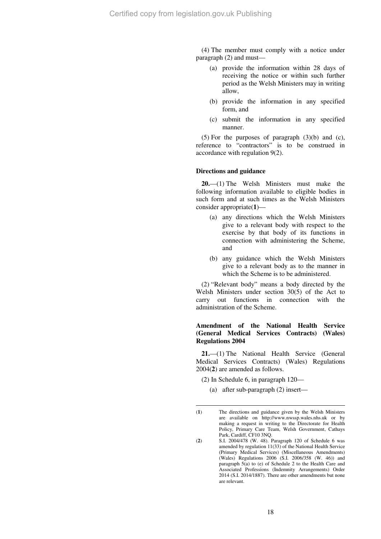(4) The member must comply with a notice under paragraph (2) and must—

- (a) provide the information within 28 days of receiving the notice or within such further period as the Welsh Ministers may in writing allow,
- (b) provide the information in any specified form, and
- (c) submit the information in any specified manner.

(5) For the purposes of paragraph  $(3)(b)$  and  $(c)$ , reference to "contractors" is to be construed in accordance with regulation 9(2).

#### **Directions and guidance**

**20.**—(1) The Welsh Ministers must make the following information available to eligible bodies in such form and at such times as the Welsh Ministers consider appropriate(**1**)—

- (a) any directions which the Welsh Ministers give to a relevant body with respect to the exercise by that body of its functions in connection with administering the Scheme, and
- (b) any guidance which the Welsh Ministers give to a relevant body as to the manner in which the Scheme is to be administered.

(2) "Relevant body" means a body directed by the Welsh Ministers under section 30(5) of the Act to carry out functions in connection with the administration of the Scheme.

### **Amendment of the National Health Service (General Medical Services Contracts) (Wales) Regulations 2004**

**21.**—(1) The National Health Service (General Medical Services Contracts) (Wales) Regulations 2004(**2**) are amended as follows.

(2) In Schedule 6, in paragraph 120—

 $\overline{a}$ 

(a) after sub-paragraph (2) insert—

<sup>(</sup>**1**) The directions and guidance given by the Welsh Ministers are available on http://www.nwssp.wales.nhs.uk or by making a request in writing to the Directorate for Health Policy, Primary Care Team, Welsh Government, Cathays Park, Cardiff, CF10 3NQ.

<sup>(</sup>**2**) S.I. 2004/478 (W. 48). Paragraph 120 of Schedule 6 was amended by regulation 11(33) of the National Health Service (Primary Medical Services) (Miscellaneous Amendments) (Wales) Regulations 2006 (S.I. 2006/358 (W. 46)) and paragraph 5(a) to (e) of Schedule 2 to the Health Care and Associated Professions (Indemnity Arrangements) Order 2014 (S.I. 2014/1887). There are other amendments but none are relevant.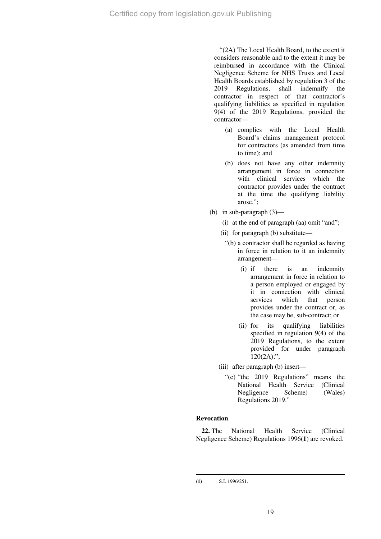"(2A) The Local Health Board, to the extent it considers reasonable and to the extent it may be reimbursed in accordance with the Clinical Negligence Scheme for NHS Trusts and Local Health Boards established by regulation 3 of the 2019 Regulations, shall indemnify the contractor in respect of that contractor's qualifying liabilities as specified in regulation 9(4) of the 2019 Regulations, provided the contractor—

- (a) complies with the Local Health Board's claims management protocol for contractors (as amended from time to time); and
- (b) does not have any other indemnity arrangement in force in connection with clinical services which the contractor provides under the contract at the time the qualifying liability arose.";
- (b) in sub-paragraph (3)—
	- (i) at the end of paragraph (aa) omit "and";
	- (ii) for paragraph (b) substitute—
		- "(b) a contractor shall be regarded as having in force in relation to it an indemnity arrangement—
			- (i) if there is an indemnity arrangement in force in relation to a person employed or engaged by it in connection with clinical services which that person provides under the contract or, as the case may be, sub-contract; or
			- (ii) for its qualifying liabilities specified in regulation 9(4) of the 2019 Regulations, to the extent provided for under paragraph  $120(2A);$ ";
	- (iii) after paragraph (b) insert—
		- "(c) "the 2019 Regulations" means the National Health Service (Clinical Negligence Scheme) (Wales) Regulations 2019."

#### **Revocation**

**22.** The National Health Service (Clinical Negligence Scheme) Regulations 1996(**1**) are revoked.

 $\overline{a}$ (**1**) S.I. 1996/251.